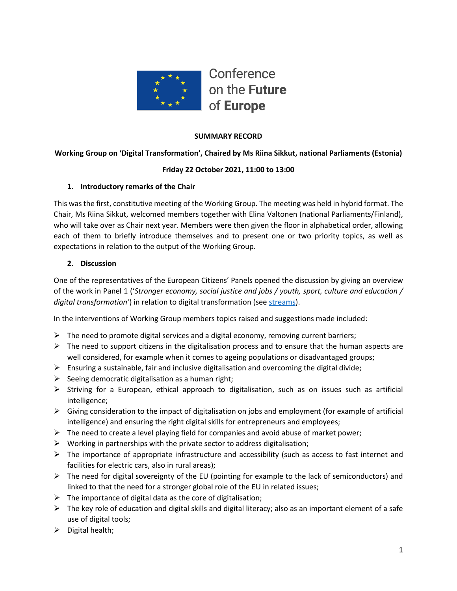

## **SUMMARY RECORD**

**Working Group on 'Digital Transformation', Chaired by Ms Riina Sikkut, national Parliaments (Estonia)**

### **Friday 22 October 2021, 11:00 to 13:00**

### **1. Introductory remarks of the Chair**

This was the first, constitutive meeting of the Working Group. The meeting was held in hybrid format. The Chair, Ms Riina Sikkut, welcomed members together with Elina Valtonen (national Parliaments/Finland), who will take over as Chair next year. Members were then given the floor in alphabetical order, allowing each of them to briefly introduce themselves and to present one or two priority topics, as well as expectations in relation to the output of the Working Group.

### **2. Discussion**

One of the representatives of the European Citizens' Panels opened the discussion by giving an overview of the work in Panel 1 ('*Stronger economy, social justice and jobs / youth, sport, culture and education / digital transformation'*) in relation to digital transformation (see [streams\)](https://prod-cofe-platform.s3.eu-central-1.amazonaws.com/0axbornep87ymbow9cxvc51twrkt?response-content-disposition=inline%3B%20filename%3D%22Panel%201%20session%201%20Report_FINAL.pdf%22%3B%20filename%2A%3DUTF-8%27%27Panel%25201%2520session%25201%2520Report_FINAL.pdf&response-content-type=application%2Fpdf&X-Amz-Algorithm=AWS4-HMAC-SHA256&X-Amz-Credential=AKIA3LJJXGZPDFYVOW5V%2F20211022%2Feu-central-1%2Fs3%2Faws4_request&X-Amz-Date=20211022T135530Z&X-Amz-Expires=300&X-Amz-SignedHeaders=host&X-Amz-Signature=b89b1fd91f155e367f795bbfaca8b9ff5ca2c56621071ce6766b12b61b67e538).

In the interventions of Working Group members topics raised and suggestions made included:

- $\triangleright$  The need to promote digital services and a digital economy, removing current barriers;
- $\triangleright$  The need to support citizens in the digitalisation process and to ensure that the human aspects are well considered, for example when it comes to ageing populations or disadvantaged groups;
- $\triangleright$  Ensuring a sustainable, fair and inclusive digitalisation and overcoming the digital divide;
- $\triangleright$  Seeing democratic digitalisation as a human right;
- $\triangleright$  Striving for a European, ethical approach to digitalisation, such as on issues such as artificial intelligence;
- $\triangleright$  Giving consideration to the impact of digitalisation on jobs and employment (for example of artificial intelligence) and ensuring the right digital skills for entrepreneurs and employees;
- $\triangleright$  The need to create a level playing field for companies and avoid abuse of market power;
- $\triangleright$  Working in partnerships with the private sector to address digitalisation;
- $\triangleright$  The importance of appropriate infrastructure and accessibility (such as access to fast internet and facilities for electric cars, also in rural areas);
- $\triangleright$  The need for digital sovereignty of the EU (pointing for example to the lack of semiconductors) and linked to that the need for a stronger global role of the EU in related issues;
- $\triangleright$  The importance of digital data as the core of digitalisation;
- $\triangleright$  The key role of education and digital skills and digital literacy; also as an important element of a safe use of digital tools;
- $\triangleright$  Digital health;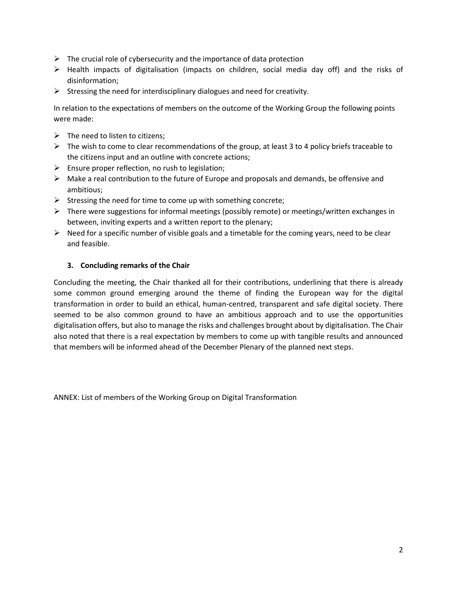- $\triangleright$  The crucial role of cybersecurity and the importance of data protection
- $\triangleright$  Health impacts of digitalisation (impacts on children, social media day off) and the risks of disinformation;
- $\triangleright$  Stressing the need for interdisciplinary dialogues and need for creativity.

In relation to the expectations of members on the outcome of the Working Group the following points were made:

- $\triangleright$  The need to listen to citizens;
- $\triangleright$  The wish to come to clear recommendations of the group, at least 3 to 4 policy briefs traceable to the citizens input and an outline with concrete actions;
- $\triangleright$  Ensure proper reflection, no rush to legislation;
- $\triangleright$  Make a real contribution to the future of Europe and proposals and demands, be offensive and ambitious;
- $\triangleright$  Stressing the need for time to come up with something concrete;
- $\triangleright$  There were suggestions for informal meetings (possibly remote) or meetings/written exchanges in between, inviting experts and a written report to the plenary;
- $\triangleright$  Need for a specific number of visible goals and a timetable for the coming years, need to be clear and feasible.

### **3. Concluding remarks of the Chair**

Concluding the meeting, the Chair thanked all for their contributions, underlining that there is already some common ground emerging around the theme of finding the European way for the digital transformation in order to build an ethical, human-centred, transparent and safe digital society. There seemed to be also common ground to have an ambitious approach and to use the opportunities digitalisation offers, but also to manage the risks and challenges brought about by digitalisation. The Chair also noted that there is a real expectation by members to come up with tangible results and announced that members will be informed ahead of the December Plenary of the planned next steps.

ANNEX: List of members of the Working Group on Digital Transformation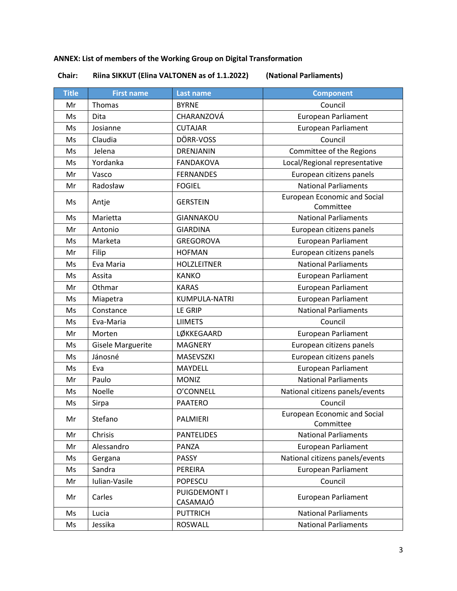# **ANNEX: List of members of the Working Group on Digital Transformation**

**Chair: Riina SIKKUT (Elina VALTONEN as of 1.1.2022) (National Parliaments)**

| <b>Title</b> | <b>First name</b>        | <b>Last name</b>         | <b>Component</b>                                 |
|--------------|--------------------------|--------------------------|--------------------------------------------------|
| Mr           | Thomas                   | <b>BYRNE</b>             | Council                                          |
| Ms           | Dita                     | CHARANZOVÁ               | <b>European Parliament</b>                       |
| Ms           | Josianne                 | <b>CUTAJAR</b>           | <b>European Parliament</b>                       |
| Ms           | Claudia                  | DÖRR-VOSS                | Council                                          |
| Ms           | Jelena                   | DRENJANIN                | Committee of the Regions                         |
| Ms           | Yordanka                 | <b>FANDAKOVA</b>         | Local/Regional representative                    |
| Mr           | Vasco                    | <b>FERNANDES</b>         | European citizens panels                         |
| Mr           | Radosław                 | <b>FOGIEL</b>            | <b>National Parliaments</b>                      |
| Ms           | Antje                    | <b>GERSTEIN</b>          | <b>European Economic and Social</b><br>Committee |
| Ms           | Marietta                 | <b>GIANNAKOU</b>         | <b>National Parliaments</b>                      |
| Mr           | Antonio                  | <b>GIARDINA</b>          | European citizens panels                         |
| Ms           | Marketa                  | <b>GREGOROVA</b>         | <b>European Parliament</b>                       |
| Mr           | Filip                    | <b>HOFMAN</b>            | European citizens panels                         |
| Ms           | Eva Maria                | <b>HOLZLEITNER</b>       | <b>National Parliaments</b>                      |
| Ms           | Assita                   | <b>KANKO</b>             | <b>European Parliament</b>                       |
| Mr           | Othmar                   | <b>KARAS</b>             | <b>European Parliament</b>                       |
| Ms           | Miapetra                 | KUMPULA-NATRI            | <b>European Parliament</b>                       |
| Ms           | Constance                | <b>LE GRIP</b>           | <b>National Parliaments</b>                      |
| Ms           | Eva-Maria                | <b>LIIMETS</b>           | Council                                          |
| Mr           | Morten                   | LØKKEGAARD               | <b>European Parliament</b>                       |
| Ms           | <b>Gisele Marguerite</b> | <b>MAGNERY</b>           | European citizens panels                         |
| Ms           | Jánosné                  | MASEVSZKI                | European citizens panels                         |
| Ms           | Eva                      | MAYDELL                  | <b>European Parliament</b>                       |
| Mr           | Paulo                    | <b>MONIZ</b>             | <b>National Parliaments</b>                      |
| Ms           | Noelle                   | O'CONNELL                | National citizens panels/events                  |
| Ms           | Sirpa                    | <b>PAATERO</b>           | Council                                          |
| Mr           | Stefano                  | PALMIERI                 | <b>European Economic and Social</b><br>Committee |
| Mr           | Chrisis                  | <b>PANTELIDES</b>        | <b>National Parliaments</b>                      |
| Mr           | Alessandro               | PANZA                    | <b>European Parliament</b>                       |
| Ms           | Gergana                  | <b>PASSY</b>             | National citizens panels/events                  |
| Ms           | Sandra                   | PEREIRA                  | European Parliament                              |
| Mr           | Iulian-Vasile            | <b>POPESCU</b>           | Council                                          |
| Mr           | Carles                   | PUIGDEMONT I<br>CASAMAJÓ | <b>European Parliament</b>                       |
| Ms           | Lucia                    | <b>PUTTRICH</b>          | <b>National Parliaments</b>                      |
| Ms           | Jessika                  | <b>ROSWALL</b>           | <b>National Parliaments</b>                      |